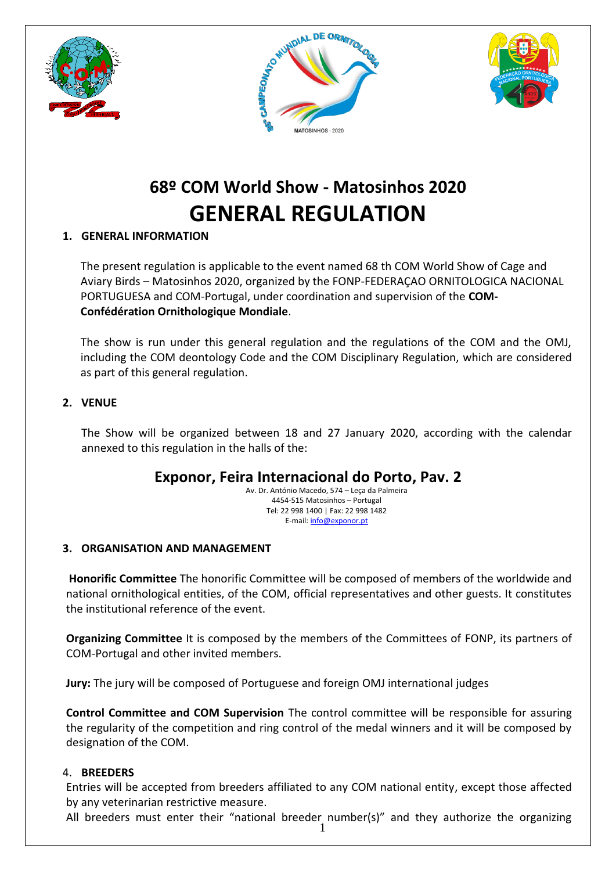





# **68º COM World Show - Matosinhos 2020 GENERAL REGULATION**

## **1. GENERAL INFORMATION**

The present regulation is applicable to the event named 68 th COM World Show of Cage and Aviary Birds – Matosinhos 2020, organized by the FONP-FEDERAÇAO ORNITOLOGICA NACIONAL PORTUGUESA and COM-Portugal, under coordination and supervision of the **COM-Confédération Ornithologique Mondiale**.

The show is run under this general regulation and the regulations of the COM and the OMJ, including the COM deontology Code and the COM Disciplinary Regulation, which are considered as part of this general regulation.

### **2. VENUE**

The Show will be organized between 18 and 27 January 2020, according with the calendar annexed to this regulation in the halls of the:

## **Exponor, Feira Internacional do Porto, Pav. 2**

Av. Dr. António Macedo, 574 – Leça da Palmeira 4454-515 Matosinhos – Portugal Tel: 22 998 1400 | Fax: 22 998 1482 E-mail[: info@exponor.pt](mailto:info@exponor.pt)

## **3. ORGANISATION AND MANAGEMENT**

**Honorific Committee** The honorific Committee will be composed of members of the worldwide and national ornithological entities, of the COM, official representatives and other guests. It constitutes the institutional reference of the event.

**Organizing Committee** It is composed by the members of the Committees of FONP, its partners of COM-Portugal and other invited members.

**Jury:** The jury will be composed of Portuguese and foreign OMJ international judges

**Control Committee and COM Supervision** The control committee will be responsible for assuring the regularity of the competition and ring control of the medal winners and it will be composed by designation of the COM.

#### 4. **BREEDERS**

Entries will be accepted from breeders affiliated to any COM national entity, except those affected by any veterinarian restrictive measure.

1 All breeders must enter their "national breeder number(s)" and they authorize the organizing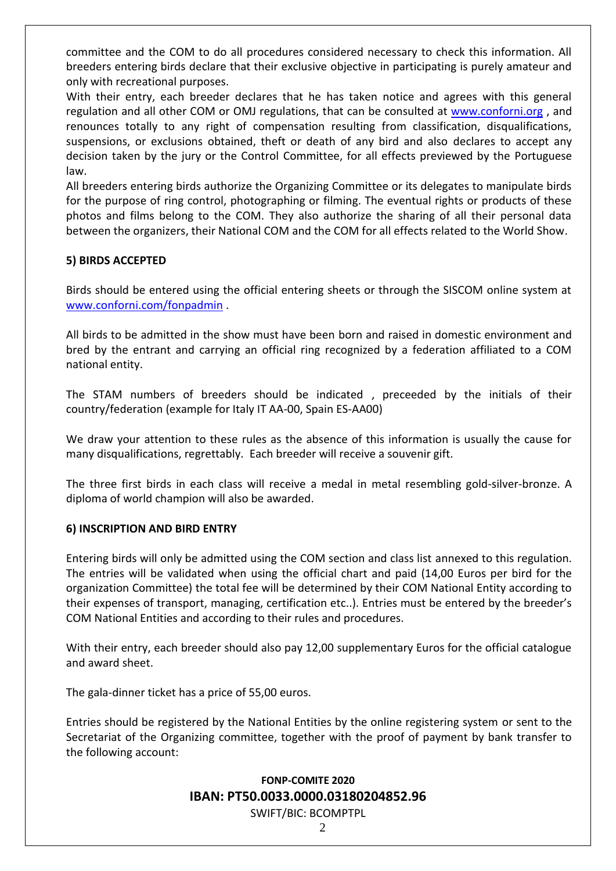committee and the COM to do all procedures considered necessary to check this information. All breeders entering birds declare that their exclusive objective in participating is purely amateur and only with recreational purposes.

With their entry, each breeder declares that he has taken notice and agrees with this general regulation and all other COM or OMJ regulations, that can be consulted at [www.conforni.org](http://www.conforni.org/), and renounces totally to any right of compensation resulting from classification, disqualifications, suspensions, or exclusions obtained, theft or death of any bird and also declares to accept any decision taken by the jury or the Control Committee, for all effects previewed by the Portuguese law.

All breeders entering birds authorize the Organizing Committee or its delegates to manipulate birds for the purpose of ring control, photographing or filming. The eventual rights or products of these photos and films belong to the COM. They also authorize the sharing of all their personal data between the organizers, their National COM and the COM for all effects related to the World Show.

#### **5) BIRDS ACCEPTED**

Birds should be entered using the official entering sheets or through the SISCOM online system at [www.conforni.com/fonpadmin](http://www.conforni.com/fonpadmin) .

All birds to be admitted in the show must have been born and raised in domestic environment and bred by the entrant and carrying an official ring recognized by a federation affiliated to a COM national entity.

The STAM numbers of breeders should be indicated , preceeded by the initials of their country/federation (example for Italy IT AA-00, Spain ES-AA00)

We draw your attention to these rules as the absence of this information is usually the cause for many disqualifications, regrettably. Each breeder will receive a souvenir gift.

The three first birds in each class will receive a medal in metal resembling gold-silver-bronze. A diploma of world champion will also be awarded.

#### **6) INSCRIPTION AND BIRD ENTRY**

Entering birds will only be admitted using the COM section and class list annexed to this regulation. The entries will be validated when using the official chart and paid (14,00 Euros per bird for the organization Committee) the total fee will be determined by their COM National Entity according to their expenses of transport, managing, certification etc..). Entries must be entered by the breeder's COM National Entities and according to their rules and procedures.

With their entry, each breeder should also pay 12,00 supplementary Euros for the official catalogue and award sheet.

The gala-dinner ticket has a price of 55,00 euros.

Entries should be registered by the National Entities by the online registering system or sent to the Secretariat of the Organizing committee, together with the proof of payment by bank transfer to the following account:

#### **FONP-COMITE 2020 IBAN: PT50.0033.0000.03180204852.96** SWIFT/BIC: BCOMPTPL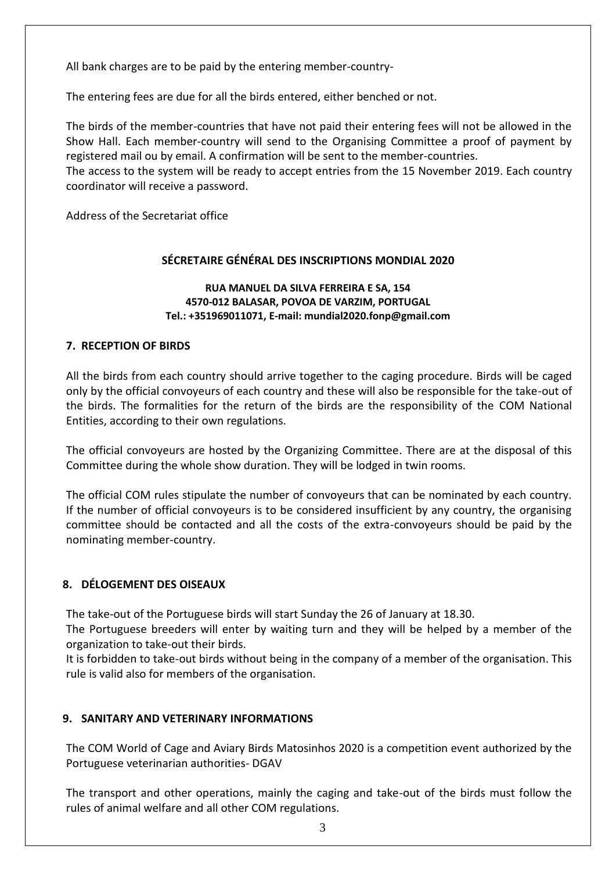All bank charges are to be paid by the entering member-country-

The entering fees are due for all the birds entered, either benched or not.

The birds of the member-countries that have not paid their entering fees will not be allowed in the Show Hall. Each member-country will send to the Organising Committee a proof of payment by registered mail ou by email. A confirmation will be sent to the member-countries.

The access to the system will be ready to accept entries from the 15 November 2019. Each country coordinator will receive a password.

Address of the Secretariat office

#### **SÉCRETAIRE GÉNÉRAL DES INSCRIPTIONS MONDIAL 2020**

#### **RUA MANUEL DA SILVA FERREIRA E SA, 154 4570-012 BALASAR, POVOA DE VARZIM, PORTUGAL Tel.: +351969011071, E-mail: mundial2020.fonp@gmail.com**

#### **7. RECEPTION OF BIRDS**

All the birds from each country should arrive together to the caging procedure. Birds will be caged only by the official convoyeurs of each country and these will also be responsible for the take-out of the birds. The formalities for the return of the birds are the responsibility of the COM National Entities, according to their own regulations.

The official convoyeurs are hosted by the Organizing Committee. There are at the disposal of this Committee during the whole show duration. They will be lodged in twin rooms.

The official COM rules stipulate the number of convoyeurs that can be nominated by each country. If the number of official convoyeurs is to be considered insufficient by any country, the organising committee should be contacted and all the costs of the extra-convoyeurs should be paid by the nominating member-country.

#### **8. DÉLOGEMENT DES OISEAUX**

The take-out of the Portuguese birds will start Sunday the 26 of January at 18.30.

The Portuguese breeders will enter by waiting turn and they will be helped by a member of the organization to take-out their birds.

It is forbidden to take-out birds without being in the company of a member of the organisation. This rule is valid also for members of the organisation.

#### **9. SANITARY AND VETERINARY INFORMATIONS**

The COM World of Cage and Aviary Birds Matosinhos 2020 is a competition event authorized by the Portuguese veterinarian authorities- DGAV

The transport and other operations, mainly the caging and take-out of the birds must follow the rules of animal welfare and all other COM regulations.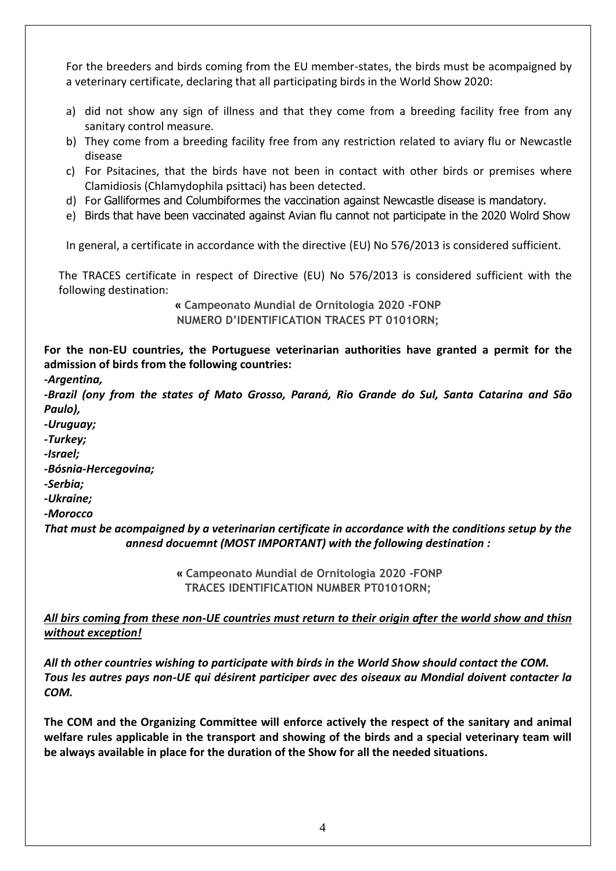For the breeders and birds coming from the EU member-states, the birds must be acompaigned by a veterinary certificate, declaring that all participating birds in the World Show 2020:

- a) did not show any sign of illness and that they come from a breeding facility free from any sanitary control measure.
- b) They come from a breeding facility free from any restriction related to aviary flu or Newcastle disease
- c) For Psitacines, that the birds have not been in contact with other birds or premises where Clamidiosis (Chlamydophila psittaci) has been detected.
- d) For Galliformes and Columbiformes the vaccination against Newcastle disease is mandatory.
- e) Birds that have been vaccinated against Avian flu cannot not participate in the 2020 Wolrd Show

In general, a certificate in accordance with the directive (EU) No 576/2013 is considered sufficient.

The TRACES certificate in respect of Directive (EU) No 576/2013 is considered sufficient with the following destination:

> **« Campeonato Mundial de Ornitologia 2020 -FONP NUMERO D'IDENTIFICATION TRACES PT 0101ORN;**

**For the non-EU countries, the Portuguese veterinarian authorities have granted a permit for the admission of birds from the following countries:**

```
-Argentina,
```
*-Brazil (ony from the states of Mato Grosso, Paraná, Rio Grande do Sul, Santa Catarina and São Paulo),* 

- *-Uruguay;*
- *-Turkey;*
- *-Israel;*
- *-Bósnia-Hercegovina;*
- *-Serbia;*

*-Ukraine;* 

*-Morocco*

*That must be acompaigned by a veterinarian certificate in accordance with the conditions setup by the annesd docuemnt (MOST IMPORTANT) with the following destination :*

> **« Campeonato Mundial de Ornitologia 2020 -FONP TRACES IDENTIFICATION NUMBER PT0101ORN;**

#### *All birs coming from these non-UE countries must return to their origin after the world show and thisn without exception!*

*All th other countries wishing to participate with birds in the World Show should contact the COM. Tous les autres pays non-UE qui désirent participer avec des oiseaux au Mondial doivent contacter la COM.*

**The COM and the Organizing Committee will enforce actively the respect of the sanitary and animal welfare rules applicable in the transport and showing of the birds and a special veterinary team will be always available in place for the duration of the Show for all the needed situations.**